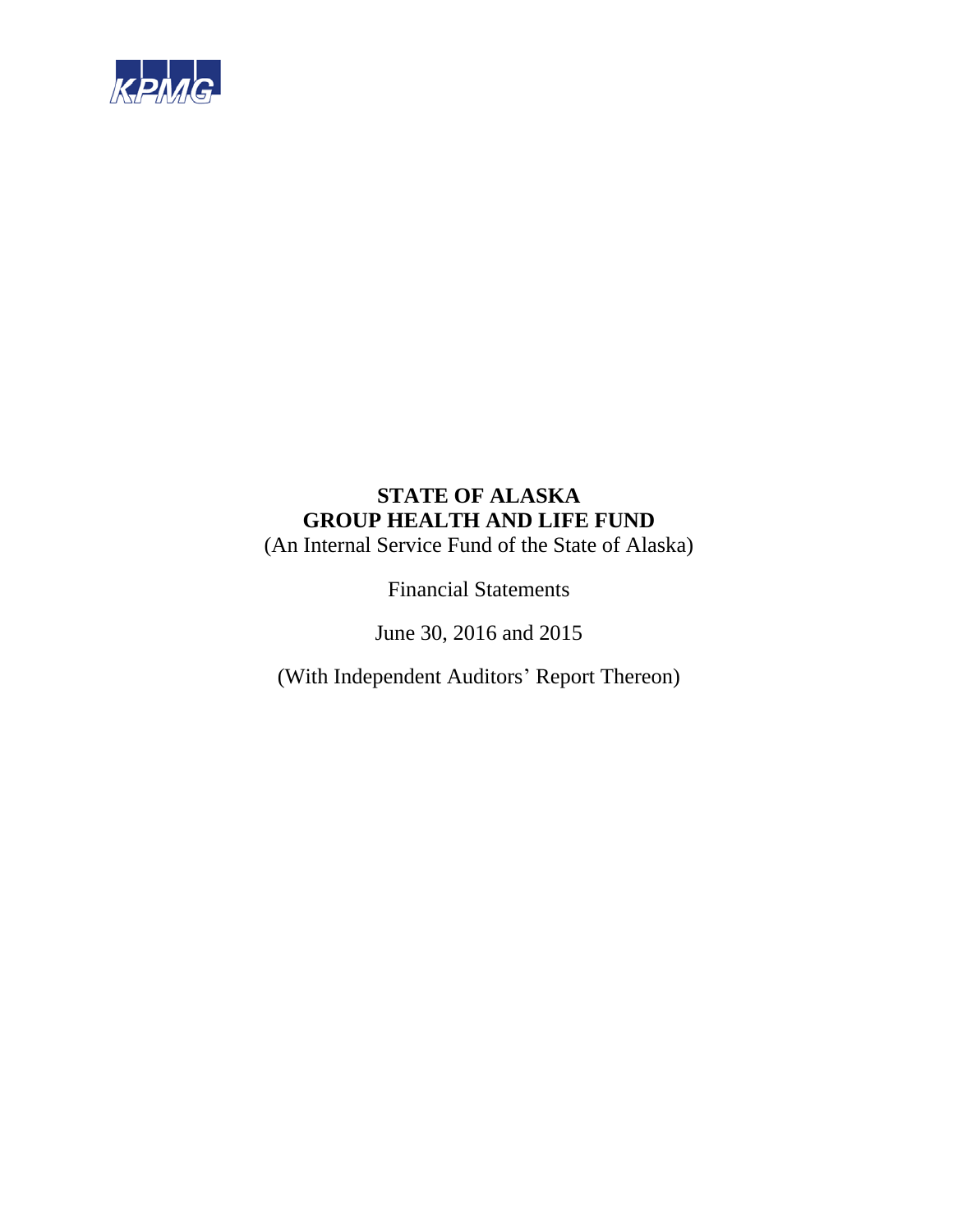

(An Internal Service Fund of the State of Alaska)

Financial Statements

June 30, 2016 and 2015

(With Independent Auditors' Report Thereon)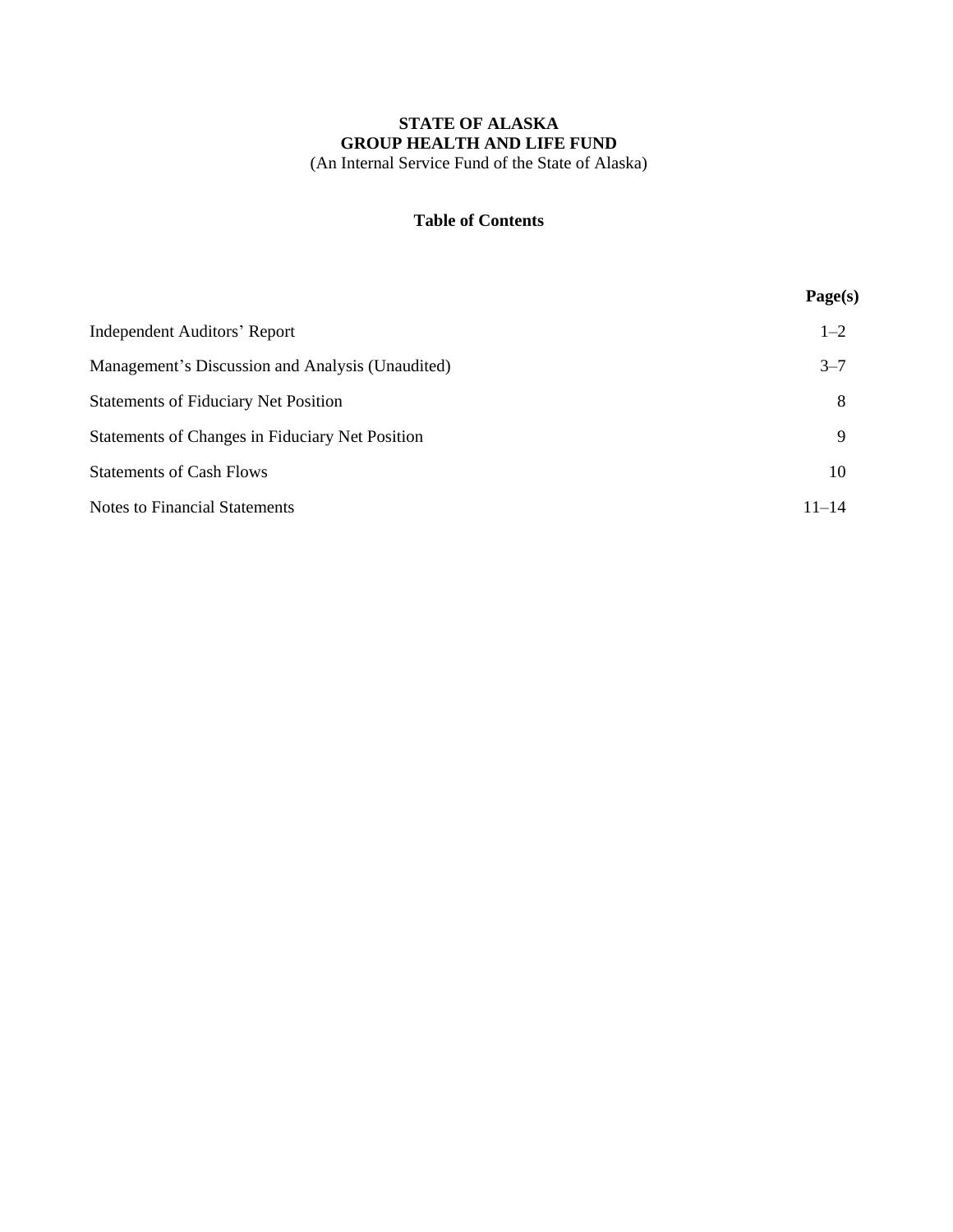### **Table of Contents**

|                                                  | Page(s)   |
|--------------------------------------------------|-----------|
| <b>Independent Auditors' Report</b>              | $1 - 2$   |
| Management's Discussion and Analysis (Unaudited) | $3 - 7$   |
| <b>Statements of Fiduciary Net Position</b>      | 8         |
| Statements of Changes in Fiduciary Net Position  | 9         |
| <b>Statements of Cash Flows</b>                  | 10        |
| <b>Notes to Financial Statements</b>             | $11 - 14$ |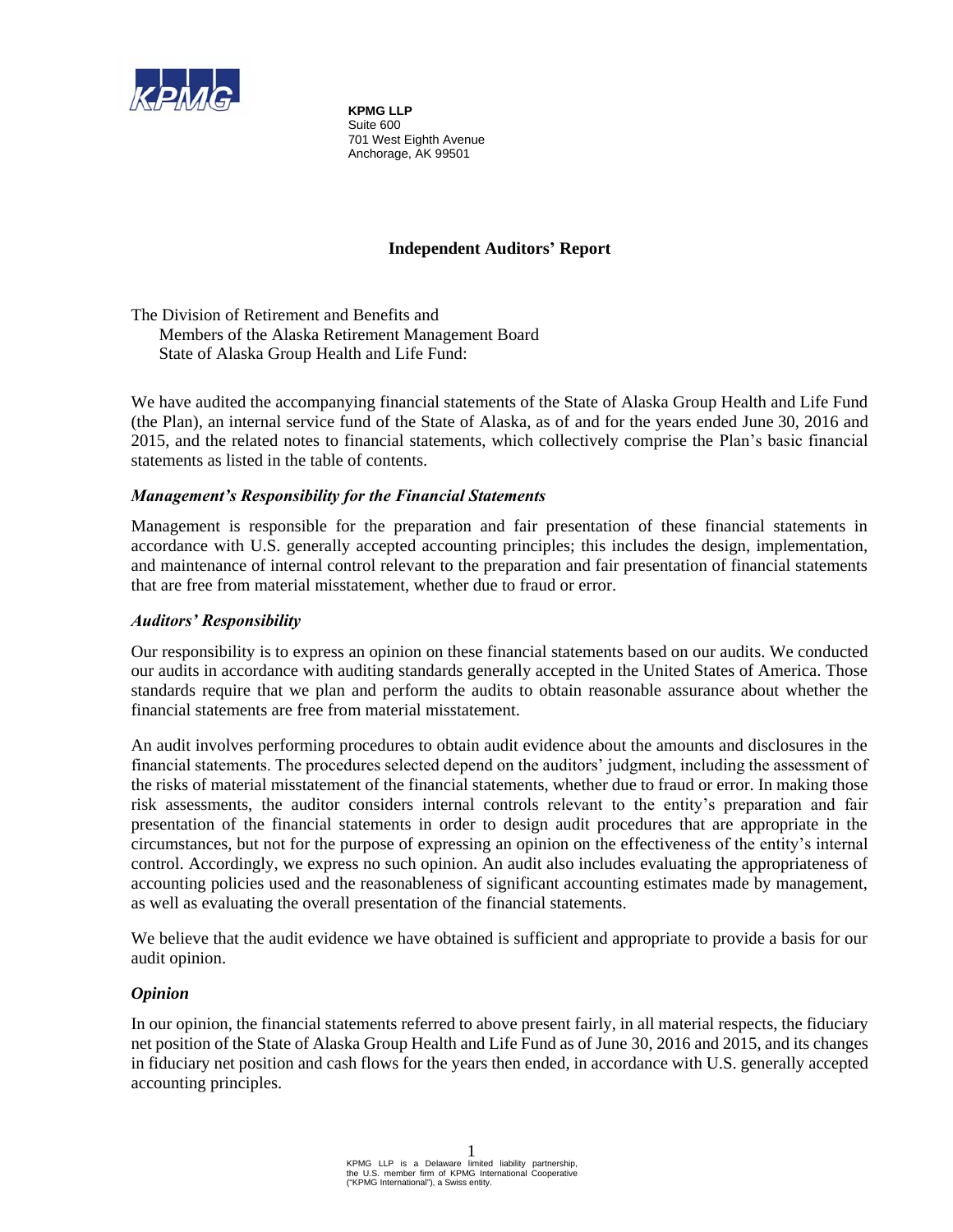

**KPMG LLP**  Suite 600 701 West Eighth Avenue Anchorage, AK 99501

### **Independent Auditors' Report**

The Division of Retirement and Benefits and Members of the Alaska Retirement Management Board State of Alaska Group Health and Life Fund:

We have audited the accompanying financial statements of the State of Alaska Group Health and Life Fund (the Plan), an internal service fund of the State of Alaska, as of and for the years ended June 30, 2016 and 2015, and the related notes to financial statements, which collectively comprise the Plan's basic financial statements as listed in the table of contents.

### *Management's Responsibility for the Financial Statements*

Management is responsible for the preparation and fair presentation of these financial statements in accordance with U.S. generally accepted accounting principles; this includes the design, implementation, and maintenance of internal control relevant to the preparation and fair presentation of financial statements that are free from material misstatement, whether due to fraud or error.

### *Auditors' Responsibility*

Our responsibility is to express an opinion on these financial statements based on our audits. We conducted our audits in accordance with auditing standards generally accepted in the United States of America. Those standards require that we plan and perform the audits to obtain reasonable assurance about whether the financial statements are free from material misstatement.

An audit involves performing procedures to obtain audit evidence about the amounts and disclosures in the financial statements. The procedures selected depend on the auditors' judgment, including the assessment of the risks of material misstatement of the financial statements, whether due to fraud or error. In making those risk assessments, the auditor considers internal controls relevant to the entity's preparation and fair presentation of the financial statements in order to design audit procedures that are appropriate in the circumstances, but not for the purpose of expressing an opinion on the effectiveness of the entity's internal control. Accordingly, we express no such opinion. An audit also includes evaluating the appropriateness of accounting policies used and the reasonableness of significant accounting estimates made by management, as well as evaluating the overall presentation of the financial statements.

We believe that the audit evidence we have obtained is sufficient and appropriate to provide a basis for our audit opinion.

### *Opinion*

In our opinion, the financial statements referred to above present fairly, in all material respects, the fiduciary net position of the State of Alaska Group Health and Life Fund as of June 30, 2016 and 2015, and its changes in fiduciary net position and cash flows for the years then ended, in accordance with U.S. generally accepted accounting principles.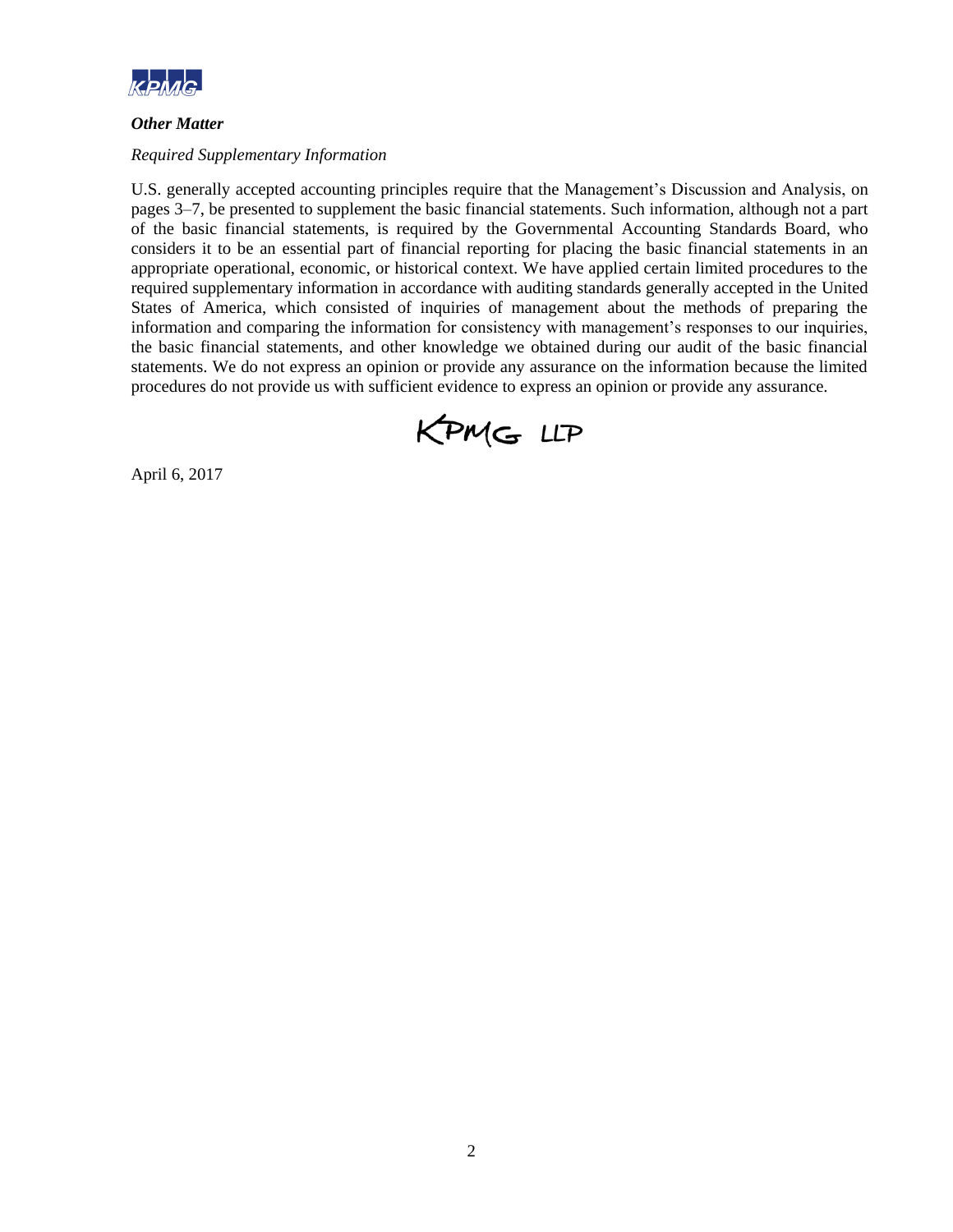

### *Other Matter*

### *Required Supplementary Information*

U.S. generally accepted accounting principles require that the Management's Discussion and Analysis, on pages 3–7, be presented to supplement the basic financial statements. Such information, although not a part of the basic financial statements, is required by the Governmental Accounting Standards Board, who considers it to be an essential part of financial reporting for placing the basic financial statements in an appropriate operational, economic, or historical context. We have applied certain limited procedures to the required supplementary information in accordance with auditing standards generally accepted in the United States of America, which consisted of inquiries of management about the methods of preparing the information and comparing the information for consistency with management's responses to our inquiries, the basic financial statements, and other knowledge we obtained during our audit of the basic financial statements. We do not express an opinion or provide any assurance on the information because the limited procedures do not provide us with sufficient evidence to express an opinion or provide any assurance.



April 6, 2017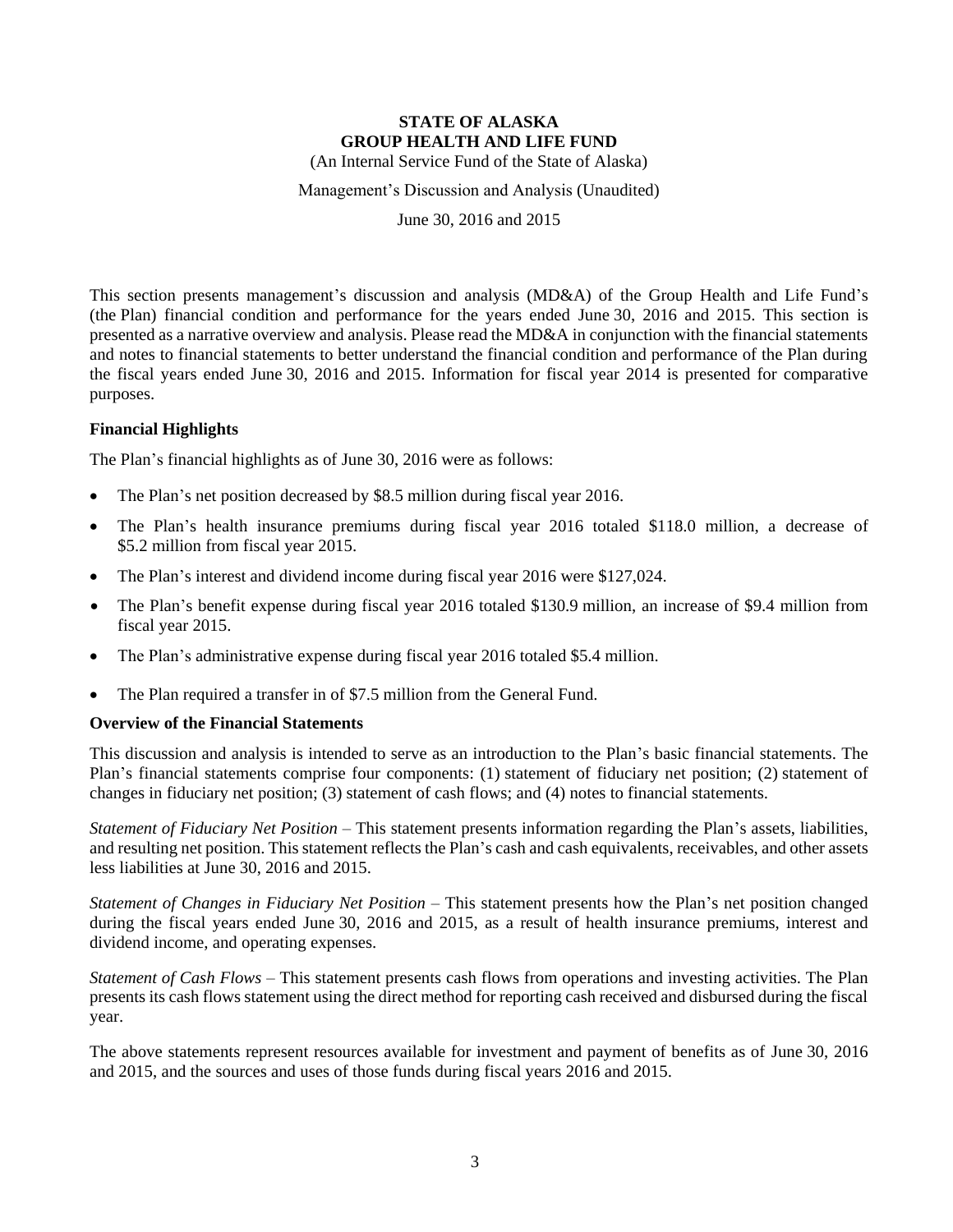(An Internal Service Fund of the State of Alaska)

Management's Discussion and Analysis (Unaudited)

June 30, 2016 and 2015

This section presents management's discussion and analysis (MD&A) of the Group Health and Life Fund's (the Plan) financial condition and performance for the years ended June 30, 2016 and 2015. This section is presented as a narrative overview and analysis. Please read the MD&A in conjunction with the financial statements and notes to financial statements to better understand the financial condition and performance of the Plan during the fiscal years ended June 30, 2016 and 2015. Information for fiscal year 2014 is presented for comparative purposes.

### **Financial Highlights**

The Plan's financial highlights as of June 30, 2016 were as follows:

- The Plan's net position decreased by \$8.5 million during fiscal year 2016.
- The Plan's health insurance premiums during fiscal year 2016 totaled \$118.0 million, a decrease of \$5.2 million from fiscal year 2015.
- The Plan's interest and dividend income during fiscal year 2016 were \$127,024.
- The Plan's benefit expense during fiscal year 2016 totaled \$130.9 million, an increase of \$9.4 million from fiscal year 2015.
- The Plan's administrative expense during fiscal year 2016 totaled \$5.4 million.
- The Plan required a transfer in of \$7.5 million from the General Fund.

### **Overview of the Financial Statements**

This discussion and analysis is intended to serve as an introduction to the Plan's basic financial statements. The Plan's financial statements comprise four components: (1) statement of fiduciary net position; (2) statement of changes in fiduciary net position; (3) statement of cash flows; and (4) notes to financial statements.

*Statement of Fiduciary Net Position* – This statement presents information regarding the Plan's assets, liabilities, and resulting net position. This statement reflects the Plan's cash and cash equivalents, receivables, and other assets less liabilities at June 30, 2016 and 2015.

*Statement of Changes in Fiduciary Net Position* – This statement presents how the Plan's net position changed during the fiscal years ended June 30, 2016 and 2015, as a result of health insurance premiums, interest and dividend income, and operating expenses.

*Statement of Cash Flows* – This statement presents cash flows from operations and investing activities. The Plan presents its cash flows statement using the direct method for reporting cash received and disbursed during the fiscal year.

The above statements represent resources available for investment and payment of benefits as of June 30, 2016 and 2015, and the sources and uses of those funds during fiscal years 2016 and 2015.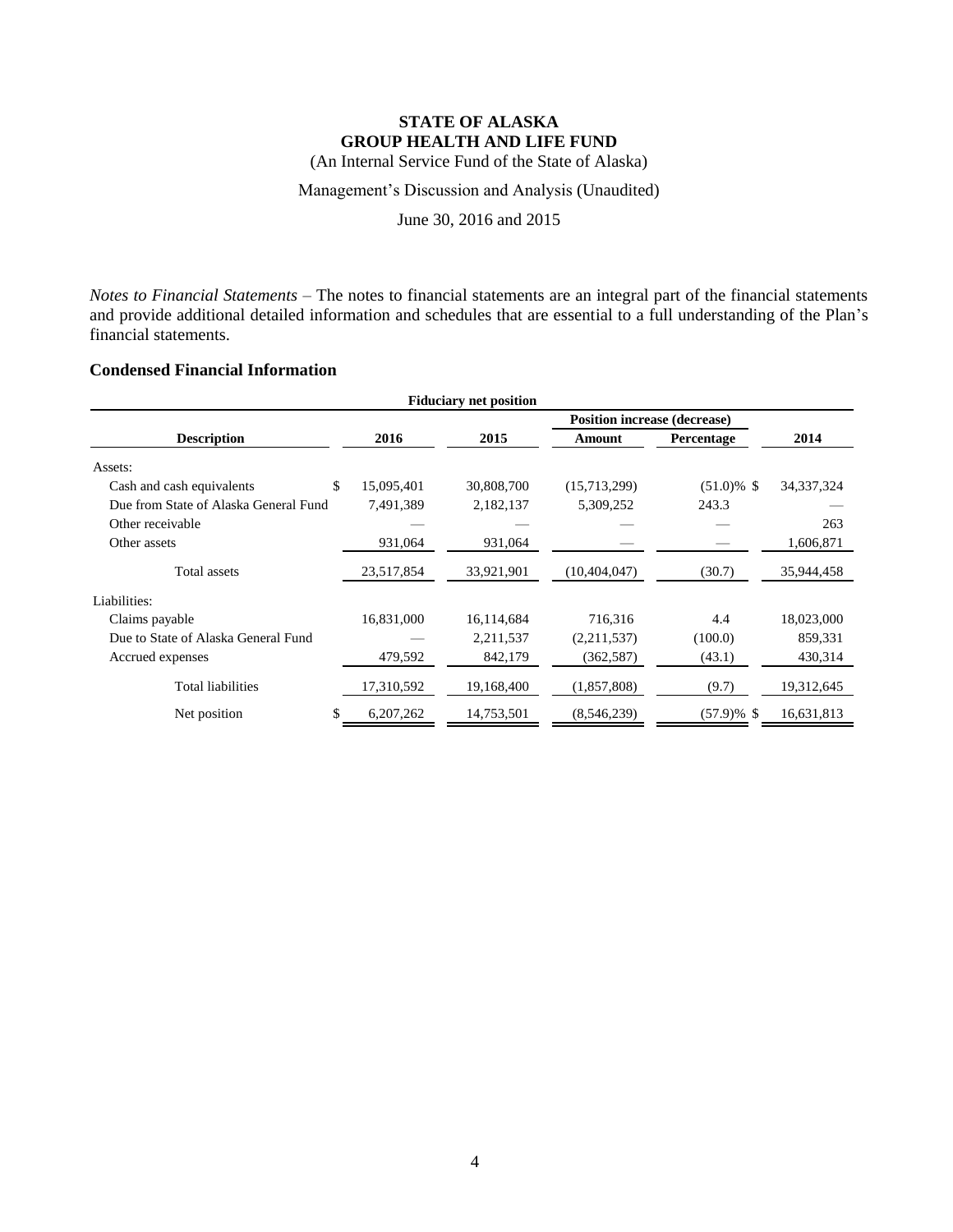(An Internal Service Fund of the State of Alaska)

Management's Discussion and Analysis (Unaudited)

June 30, 2016 and 2015

*Notes to Financial Statements* – The notes to financial statements are an integral part of the financial statements and provide additional detailed information and schedules that are essential to a full understanding of the Plan's financial statements.

## **Condensed Financial Information**

| <b>Fiduciary net position</b>         |            |            |                |               |              |  |
|---------------------------------------|------------|------------|----------------|---------------|--------------|--|
| <b>Position increase (decrease)</b>   |            |            |                |               |              |  |
| <b>Description</b>                    | 2016       | 2015       | <b>Amount</b>  | Percentage    | 2014         |  |
| Assets:                               |            |            |                |               |              |  |
| \$.<br>Cash and cash equivalents      | 15,095,401 | 30,808,700 | (15,713,299)   | $(51.0)\%$ \$ | 34, 337, 324 |  |
| Due from State of Alaska General Fund | 7,491,389  | 2,182,137  | 5,309,252      | 243.3         |              |  |
| Other receivable                      |            |            |                |               | 263          |  |
| Other assets                          | 931,064    | 931,064    |                |               | 1,606,871    |  |
| Total assets                          | 23,517,854 | 33,921,901 | (10, 404, 047) | (30.7)        | 35,944,458   |  |
| Liabilities:                          |            |            |                |               |              |  |
| Claims payable                        | 16,831,000 | 16,114,684 | 716,316        | 4.4           | 18,023,000   |  |
| Due to State of Alaska General Fund   |            | 2,211,537  | (2,211,537)    | (100.0)       | 859,331      |  |
| Accrued expenses                      | 479,592    | 842,179    | (362, 587)     | (43.1)        | 430,314      |  |
| <b>Total liabilities</b>              | 17,310,592 | 19,168,400 | (1,857,808)    | (9.7)         | 19,312,645   |  |
| Net position<br>\$                    | 6,207,262  | 14,753,501 | (8,546,239)    | $(57.9)\%$ \$ | 16,631,813   |  |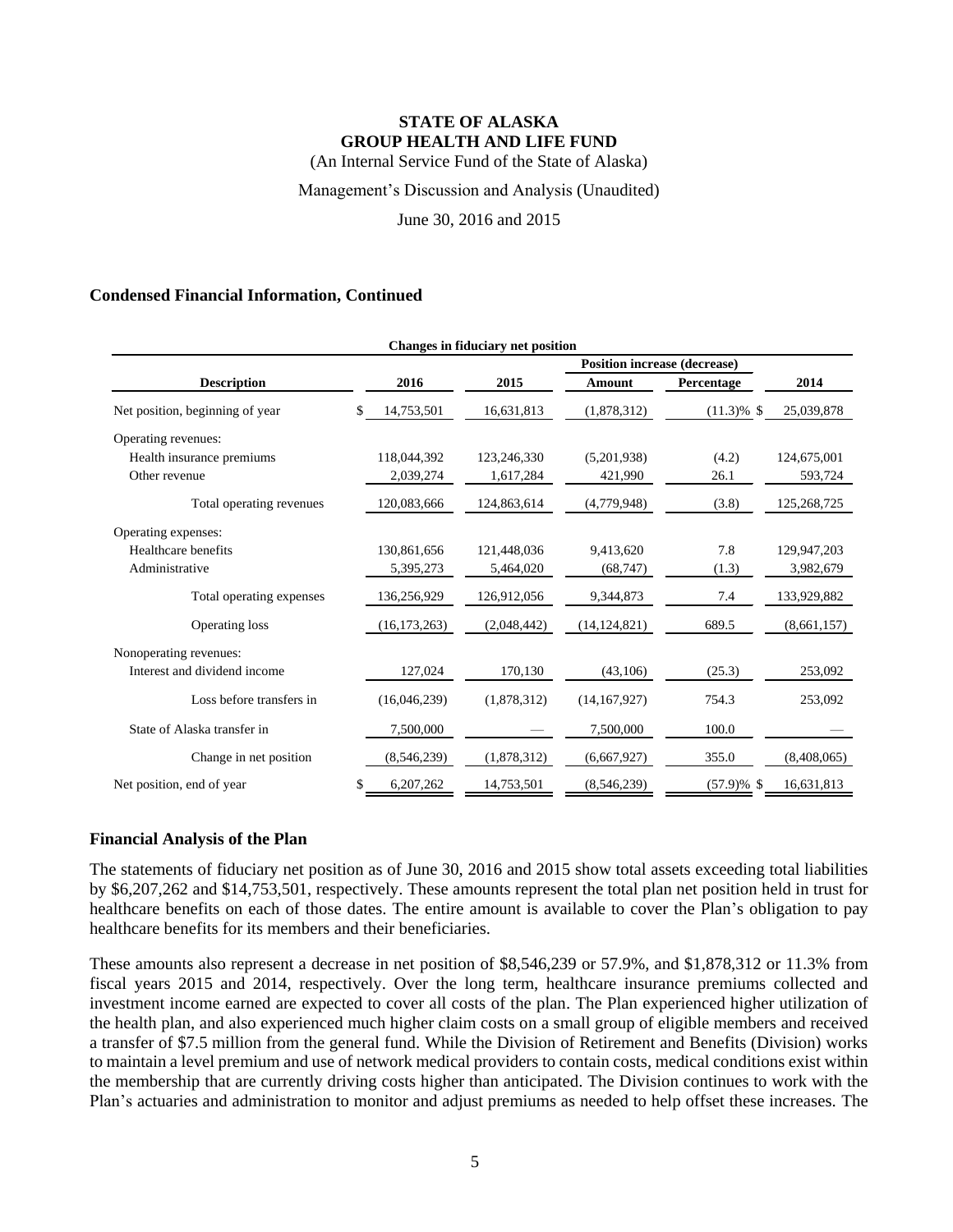(An Internal Service Fund of the State of Alaska)

Management's Discussion and Analysis (Unaudited)

June 30, 2016 and 2015

### **Condensed Financial Information, Continued**

| Changes in fiduciary net position   |                 |             |                |               |             |  |  |
|-------------------------------------|-----------------|-------------|----------------|---------------|-------------|--|--|
| <b>Position increase (decrease)</b> |                 |             |                |               |             |  |  |
| <b>Description</b>                  | 2016            | 2015        | Amount         | Percentage    | 2014        |  |  |
| Net position, beginning of year     | 14,753,501<br>S | 16,631,813  | (1,878,312)    | $(11.3)\%$ \$ | 25,039,878  |  |  |
| Operating revenues:                 |                 |             |                |               |             |  |  |
| Health insurance premiums           | 118,044,392     | 123,246,330 | (5,201,938)    | (4.2)         | 124,675,001 |  |  |
| Other revenue                       | 2,039,274       | 1,617,284   | 421.990        | 26.1          | 593,724     |  |  |
| Total operating revenues            | 120,083,666     | 124,863,614 | (4,779,948)    | (3.8)         | 125,268,725 |  |  |
| Operating expenses:                 |                 |             |                |               |             |  |  |
| Healthcare benefits                 | 130,861,656     | 121,448,036 | 9.413.620      | 7.8           | 129,947,203 |  |  |
| Administrative                      | 5,395,273       | 5,464,020   | (68, 747)      | (1.3)         | 3,982,679   |  |  |
| Total operating expenses            | 136,256,929     | 126,912,056 | 9,344,873      | 7.4           | 133,929,882 |  |  |
| Operating loss                      | (16, 173, 263)  | (2,048,442) | (14, 124, 821) | 689.5         | (8,661,157) |  |  |
| Nonoperating revenues:              |                 |             |                |               |             |  |  |
| Interest and dividend income        | 127,024         | 170,130     | (43,106)       | (25.3)        | 253,092     |  |  |
| Loss before transfers in            | (16,046,239)    | (1,878,312) | (14, 167, 927) | 754.3         | 253,092     |  |  |
| State of Alaska transfer in         | 7,500,000       |             | 7,500,000      | 100.0         |             |  |  |
| Change in net position              | (8,546,239)     | (1,878,312) | (6,667,927)    | 355.0         | (8,408,065) |  |  |
| Net position, end of year           | 6,207,262<br>S  | 14,753,501  | (8,546,239)    | $(57.9)\%$ \$ | 16,631,813  |  |  |

### **Financial Analysis of the Plan**

The statements of fiduciary net position as of June 30, 2016 and 2015 show total assets exceeding total liabilities by \$6,207,262 and \$14,753,501, respectively. These amounts represent the total plan net position held in trust for healthcare benefits on each of those dates. The entire amount is available to cover the Plan's obligation to pay healthcare benefits for its members and their beneficiaries.

These amounts also represent a decrease in net position of \$8,546,239 or 57.9%, and \$1,878,312 or 11.3% from fiscal years 2015 and 2014, respectively. Over the long term, healthcare insurance premiums collected and investment income earned are expected to cover all costs of the plan. The Plan experienced higher utilization of the health plan, and also experienced much higher claim costs on a small group of eligible members and received a transfer of \$7.5 million from the general fund. While the Division of Retirement and Benefits (Division) works to maintain a level premium and use of network medical providers to contain costs, medical conditions exist within the membership that are currently driving costs higher than anticipated. The Division continues to work with the Plan's actuaries and administration to monitor and adjust premiums as needed to help offset these increases. The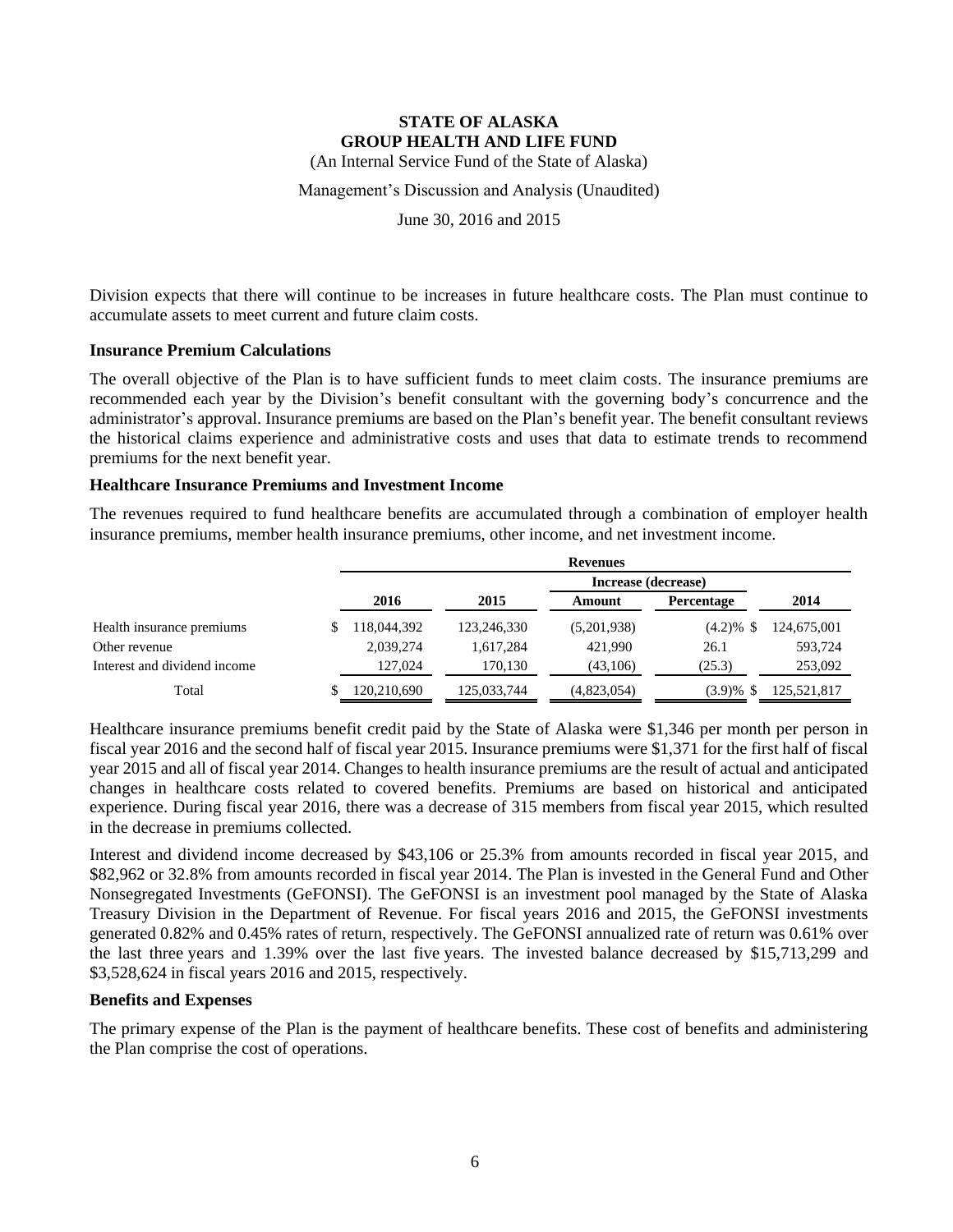(An Internal Service Fund of the State of Alaska)

Management's Discussion and Analysis (Unaudited)

June 30, 2016 and 2015

Division expects that there will continue to be increases in future healthcare costs. The Plan must continue to accumulate assets to meet current and future claim costs.

### **Insurance Premium Calculations**

The overall objective of the Plan is to have sufficient funds to meet claim costs. The insurance premiums are recommended each year by the Division's benefit consultant with the governing body's concurrence and the administrator's approval. Insurance premiums are based on the Plan's benefit year. The benefit consultant reviews the historical claims experience and administrative costs and uses that data to estimate trends to recommend premiums for the next benefit year.

### **Healthcare Insurance Premiums and Investment Income**

The revenues required to fund healthcare benefits are accumulated through a combination of employer health insurance premiums, member health insurance premiums, other income, and net investment income.

|                              | <b>Revenues</b>     |             |             |                   |             |  |
|------------------------------|---------------------|-------------|-------------|-------------------|-------------|--|
|                              | Increase (decrease) |             |             |                   |             |  |
|                              | 2016                | 2015        | Amount      | <b>Percentage</b> | 2014        |  |
| Health insurance premiums    | 118,044,392         | 123,246,330 | (5,201,938) | $(4.2)\%$ \$      | 124,675,001 |  |
| Other revenue                | 2.039.274           | 1,617,284   | 421.990     | 26.1              | 593.724     |  |
| Interest and dividend income | 127,024             | 170,130     | (43,106)    | (25.3)            | 253,092     |  |
| Total                        | 120,210,690         | 125,033,744 | (4,823,054) | $(3.9) \%$ \$     | 125.521.817 |  |

Healthcare insurance premiums benefit credit paid by the State of Alaska were \$1,346 per month per person in fiscal year 2016 and the second half of fiscal year 2015. Insurance premiums were \$1,371 for the first half of fiscal year 2015 and all of fiscal year 2014. Changes to health insurance premiums are the result of actual and anticipated changes in healthcare costs related to covered benefits. Premiums are based on historical and anticipated experience. During fiscal year 2016, there was a decrease of 315 members from fiscal year 2015, which resulted in the decrease in premiums collected.

Interest and dividend income decreased by \$43,106 or 25.3% from amounts recorded in fiscal year 2015, and \$82,962 or 32.8% from amounts recorded in fiscal year 2014. The Plan is invested in the General Fund and Other Nonsegregated Investments (GeFONSI). The GeFONSI is an investment pool managed by the State of Alaska Treasury Division in the Department of Revenue. For fiscal years 2016 and 2015, the GeFONSI investments generated 0.82% and 0.45% rates of return, respectively. The GeFONSI annualized rate of return was 0.61% over the last three years and 1.39% over the last five years. The invested balance decreased by \$15,713,299 and \$3,528,624 in fiscal years 2016 and 2015, respectively.

### **Benefits and Expenses**

The primary expense of the Plan is the payment of healthcare benefits. These cost of benefits and administering the Plan comprise the cost of operations.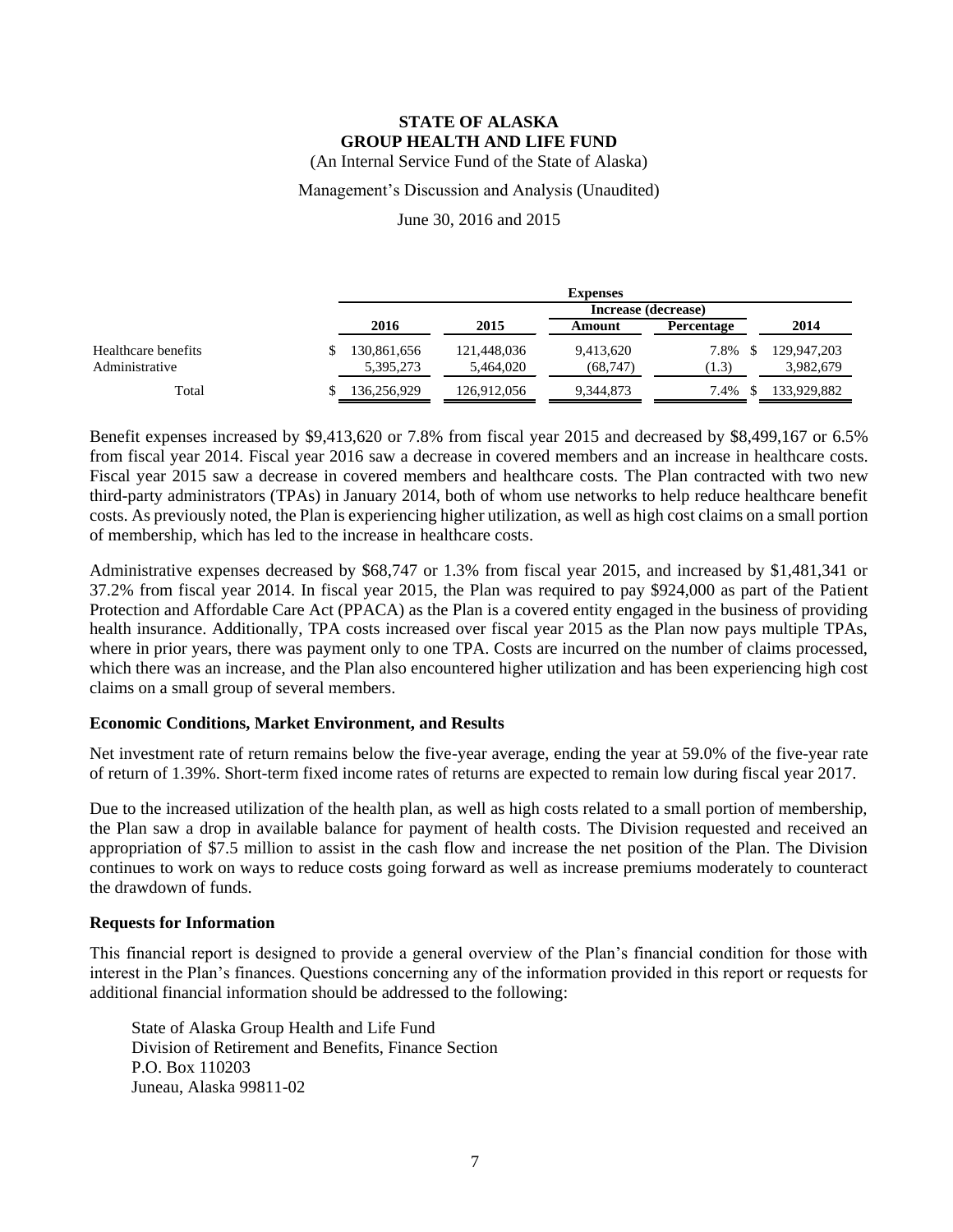(An Internal Service Fund of the State of Alaska)

### Management's Discussion and Analysis (Unaudited)

June 30, 2016 and 2015

|                     |             |                     | <b>Expenses</b> |                   |             |  |
|---------------------|-------------|---------------------|-----------------|-------------------|-------------|--|
|                     |             | Increase (decrease) |                 |                   |             |  |
|                     | 2016        | 2015                | Amount          | <b>Percentage</b> | 2014        |  |
| Healthcare benefits | 130,861,656 | 121,448,036         | 9,413,620       | 7.8%              | 129,947,203 |  |
| Administrative      | 5,395,273   | 5.464,020           | (68.747)        | (1.3)             | 3,982,679   |  |
| Total               | 136,256,929 | 126,912,056         | 9,344,873       | 7.4%              | 133.929.882 |  |

Benefit expenses increased by \$9,413,620 or 7.8% from fiscal year 2015 and decreased by \$8,499,167 or 6.5% from fiscal year 2014. Fiscal year 2016 saw a decrease in covered members and an increase in healthcare costs. Fiscal year 2015 saw a decrease in covered members and healthcare costs. The Plan contracted with two new third-party administrators (TPAs) in January 2014, both of whom use networks to help reduce healthcare benefit costs. As previously noted, the Plan is experiencing higher utilization, as well as high cost claims on a small portion of membership, which has led to the increase in healthcare costs.

Administrative expenses decreased by \$68,747 or 1.3% from fiscal year 2015, and increased by \$1,481,341 or 37.2% from fiscal year 2014. In fiscal year 2015, the Plan was required to pay \$924,000 as part of the Patient Protection and Affordable Care Act (PPACA) as the Plan is a covered entity engaged in the business of providing health insurance. Additionally, TPA costs increased over fiscal year 2015 as the Plan now pays multiple TPAs, where in prior years, there was payment only to one TPA. Costs are incurred on the number of claims processed, which there was an increase, and the Plan also encountered higher utilization and has been experiencing high cost claims on a small group of several members.

### **Economic Conditions, Market Environment, and Results**

Net investment rate of return remains below the five-year average, ending the year at 59.0% of the five-year rate of return of 1.39%. Short-term fixed income rates of returns are expected to remain low during fiscal year 2017.

Due to the increased utilization of the health plan, as well as high costs related to a small portion of membership, the Plan saw a drop in available balance for payment of health costs. The Division requested and received an appropriation of \$7.5 million to assist in the cash flow and increase the net position of the Plan. The Division continues to work on ways to reduce costs going forward as well as increase premiums moderately to counteract the drawdown of funds.

### **Requests for Information**

This financial report is designed to provide a general overview of the Plan's financial condition for those with interest in the Plan's finances. Questions concerning any of the information provided in this report or requests for additional financial information should be addressed to the following:

State of Alaska Group Health and Life Fund Division of Retirement and Benefits, Finance Section P.O. Box 110203 Juneau, Alaska 99811-02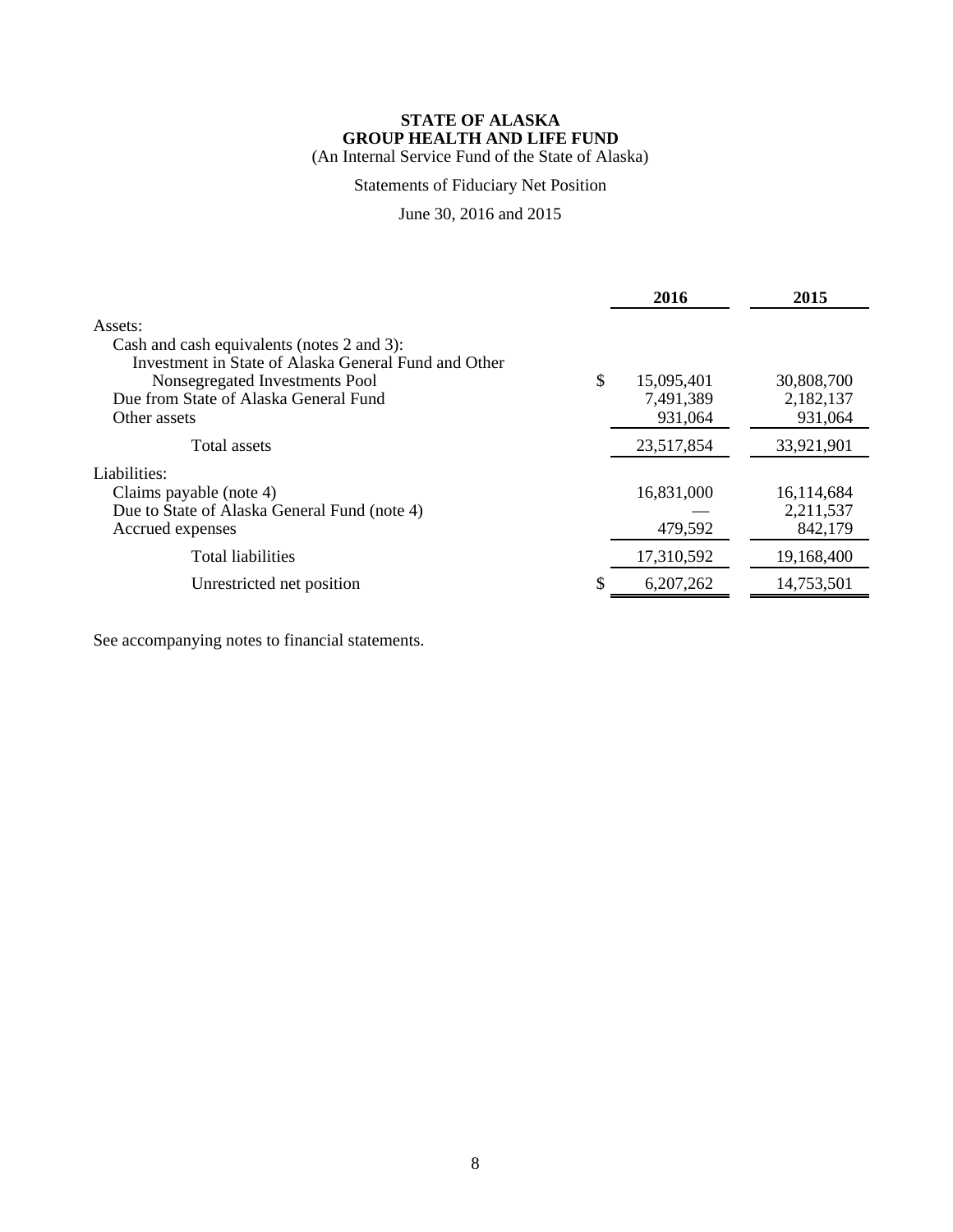(An Internal Service Fund of the State of Alaska)

## Statements of Fiduciary Net Position

June 30, 2016 and 2015

|                                                                                                                                                                                                          | 2016                                     | 2015                               |
|----------------------------------------------------------------------------------------------------------------------------------------------------------------------------------------------------------|------------------------------------------|------------------------------------|
| Assets:<br>Cash and cash equivalents (notes 2 and 3):<br>Investment in State of Alaska General Fund and Other<br>Nonsegregated Investments Pool<br>Due from State of Alaska General Fund<br>Other assets | \$<br>15,095,401<br>7,491,389<br>931,064 | 30,808,700<br>2,182,137<br>931,064 |
| Total assets                                                                                                                                                                                             | 23,517,854                               | 33,921,901                         |
| Liabilities:<br>Claims payable (note 4)<br>Due to State of Alaska General Fund (note 4)<br>Accrued expenses                                                                                              | 16,831,000<br>479,592                    | 16,114,684<br>2,211,537<br>842,179 |
| <b>Total liabilities</b>                                                                                                                                                                                 | 17,310,592                               | 19,168,400                         |
| Unrestricted net position                                                                                                                                                                                | 6,207,262                                | 14,753,501                         |

See accompanying notes to financial statements.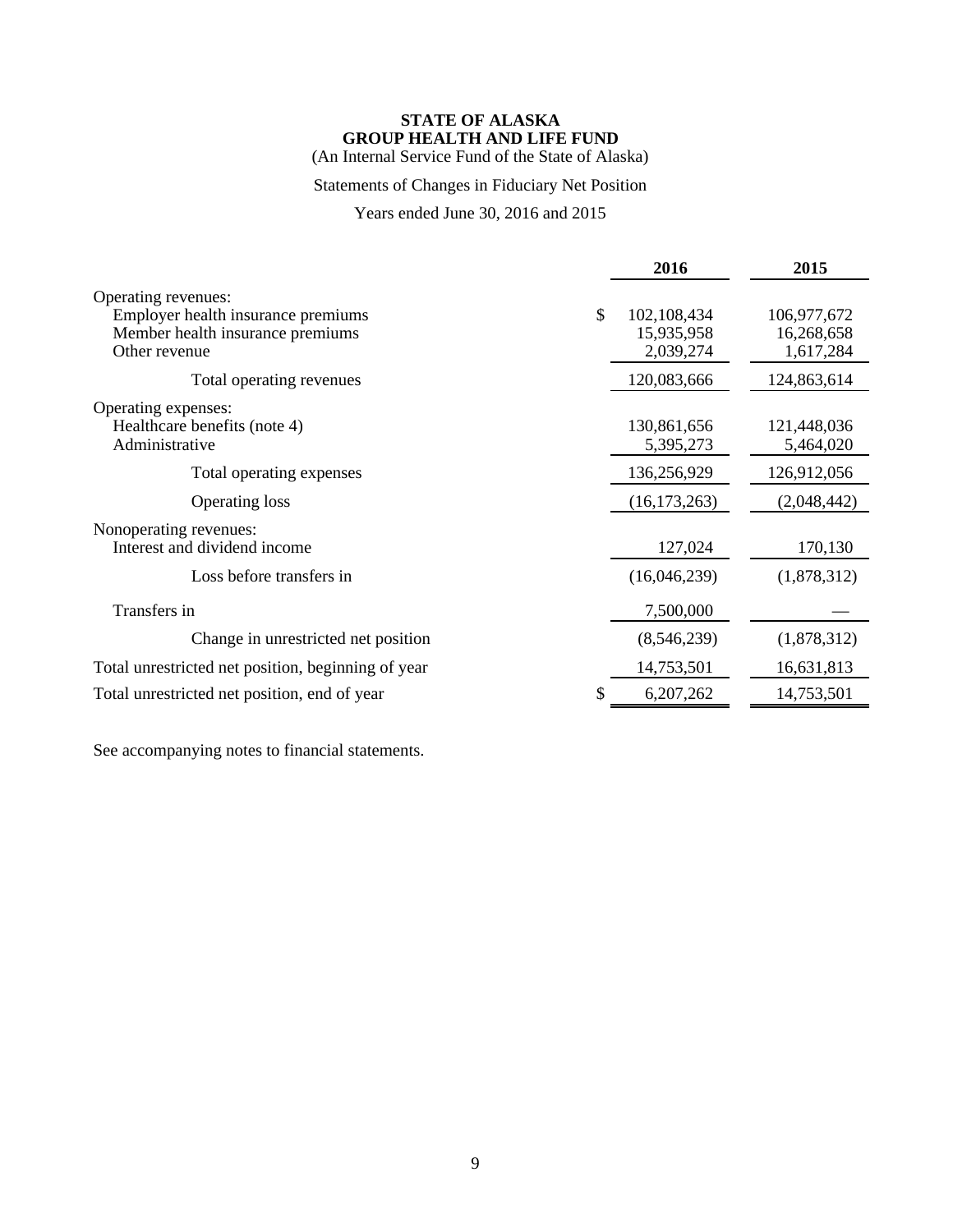(An Internal Service Fund of the State of Alaska)

## Statements of Changes in Fiduciary Net Position

### Years ended June 30, 2016 and 2015

|                                                                                                                |     | 2016                                   | 2015                                   |
|----------------------------------------------------------------------------------------------------------------|-----|----------------------------------------|----------------------------------------|
| Operating revenues:<br>Employer health insurance premiums<br>Member health insurance premiums<br>Other revenue | \$. | 102,108,434<br>15,935,958<br>2,039,274 | 106,977,672<br>16,268,658<br>1,617,284 |
| Total operating revenues                                                                                       |     | 120,083,666                            | 124,863,614                            |
| Operating expenses:<br>Healthcare benefits (note 4)<br>Administrative                                          |     | 130,861,656<br>5,395,273               | 121,448,036<br>5,464,020               |
| Total operating expenses                                                                                       |     | 136,256,929                            | 126,912,056                            |
| <b>Operating loss</b>                                                                                          |     | (16, 173, 263)                         | (2,048,442)                            |
| Nonoperating revenues:<br>Interest and dividend income                                                         |     | 127,024                                | 170,130                                |
| Loss before transfers in                                                                                       |     | (16,046,239)                           | (1,878,312)                            |
| Transfers in                                                                                                   |     | 7,500,000                              |                                        |
| Change in unrestricted net position                                                                            |     | (8,546,239)                            | (1,878,312)                            |
| Total unrestricted net position, beginning of year                                                             |     | 14,753,501                             | 16,631,813                             |
| Total unrestricted net position, end of year                                                                   |     | 6,207,262                              | 14,753,501                             |
|                                                                                                                |     |                                        |                                        |

See accompanying notes to financial statements.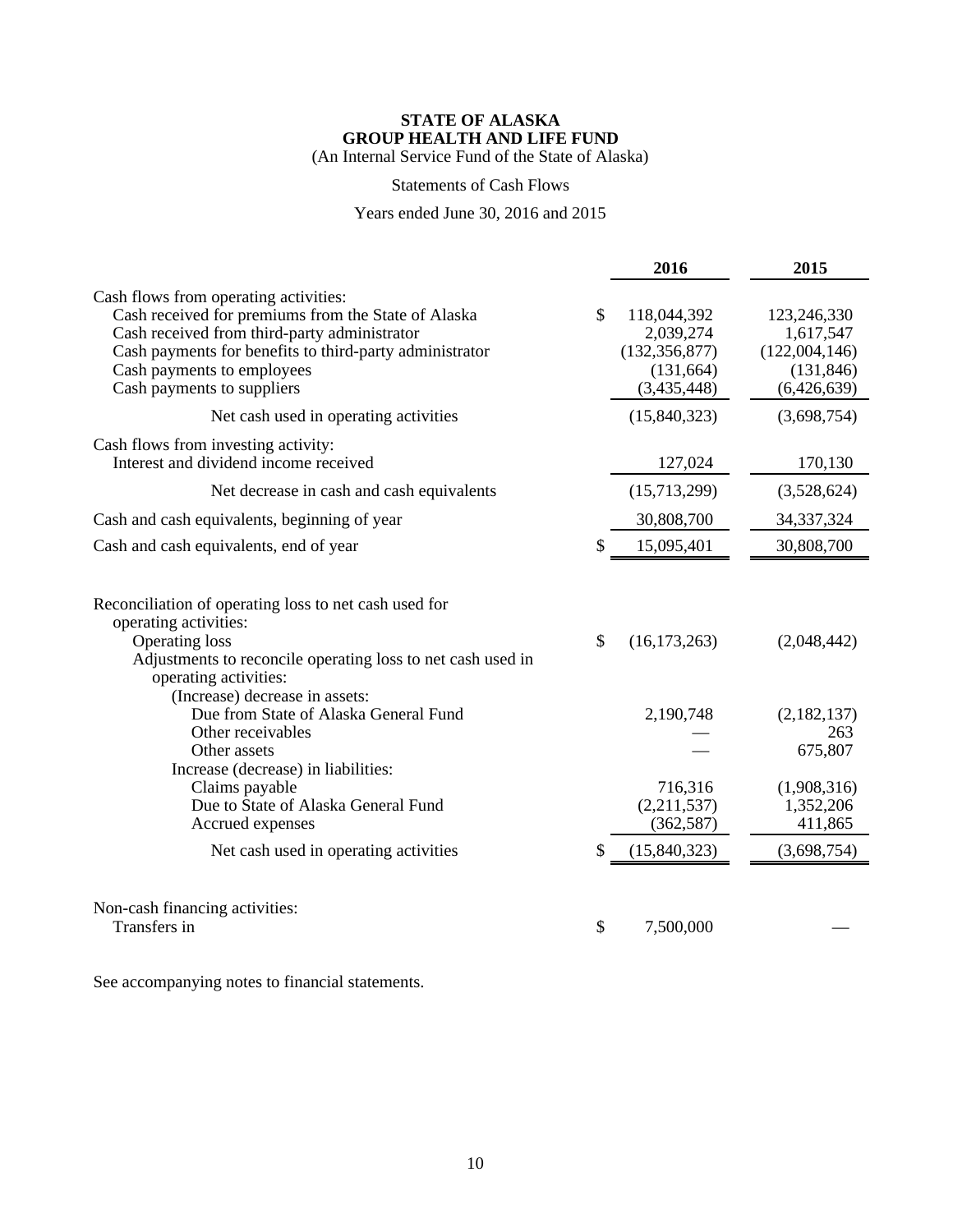(An Internal Service Fund of the State of Alaska)

## Statements of Cash Flows

## Years ended June 30, 2016 and 2015

|                                                                                                                                                                                                                                   |    | 2016                                                                     | 2015                                                                   |
|-----------------------------------------------------------------------------------------------------------------------------------------------------------------------------------------------------------------------------------|----|--------------------------------------------------------------------------|------------------------------------------------------------------------|
| Cash flows from operating activities:                                                                                                                                                                                             |    |                                                                          |                                                                        |
| Cash received for premiums from the State of Alaska<br>Cash received from third-party administrator<br>Cash payments for benefits to third-party administrator<br>Cash payments to employees<br>Cash payments to suppliers        | \$ | 118,044,392<br>2,039,274<br>(132, 356, 877)<br>(131, 664)<br>(3,435,448) | 123,246,330<br>1,617,547<br>(122,004,146)<br>(131, 846)<br>(6,426,639) |
| Net cash used in operating activities                                                                                                                                                                                             |    | (15,840,323)                                                             | (3,698,754)                                                            |
| Cash flows from investing activity:<br>Interest and dividend income received                                                                                                                                                      |    | 127,024                                                                  | 170,130                                                                |
| Net decrease in cash and cash equivalents                                                                                                                                                                                         |    | (15,713,299)                                                             | (3,528,624)                                                            |
| Cash and cash equivalents, beginning of year                                                                                                                                                                                      |    | 30,808,700                                                               | 34, 337, 324                                                           |
| Cash and cash equivalents, end of year                                                                                                                                                                                            | S. | 15,095,401                                                               | 30,808,700                                                             |
| Reconciliation of operating loss to net cash used for<br>operating activities:<br><b>Operating loss</b><br>Adjustments to reconcile operating loss to net cash used in<br>operating activities:<br>(Increase) decrease in assets: | \$ | (16, 173, 263)                                                           | (2,048,442)                                                            |
| Due from State of Alaska General Fund<br>Other receivables<br>Other assets<br>Increase (decrease) in liabilities:<br>Claims payable<br>Due to State of Alaska General Fund<br>Accrued expenses                                    |    | 2,190,748<br>716,316<br>(2,211,537)<br>(362, 587)                        | (2,182,137)<br>263<br>675,807<br>(1,908,316)<br>1,352,206<br>411,865   |
| Net cash used in operating activities                                                                                                                                                                                             |    | (15,840,323)                                                             | (3,698,754)                                                            |
| Non-cash financing activities:<br>Transfers in                                                                                                                                                                                    | \$ | 7,500,000                                                                |                                                                        |

See accompanying notes to financial statements.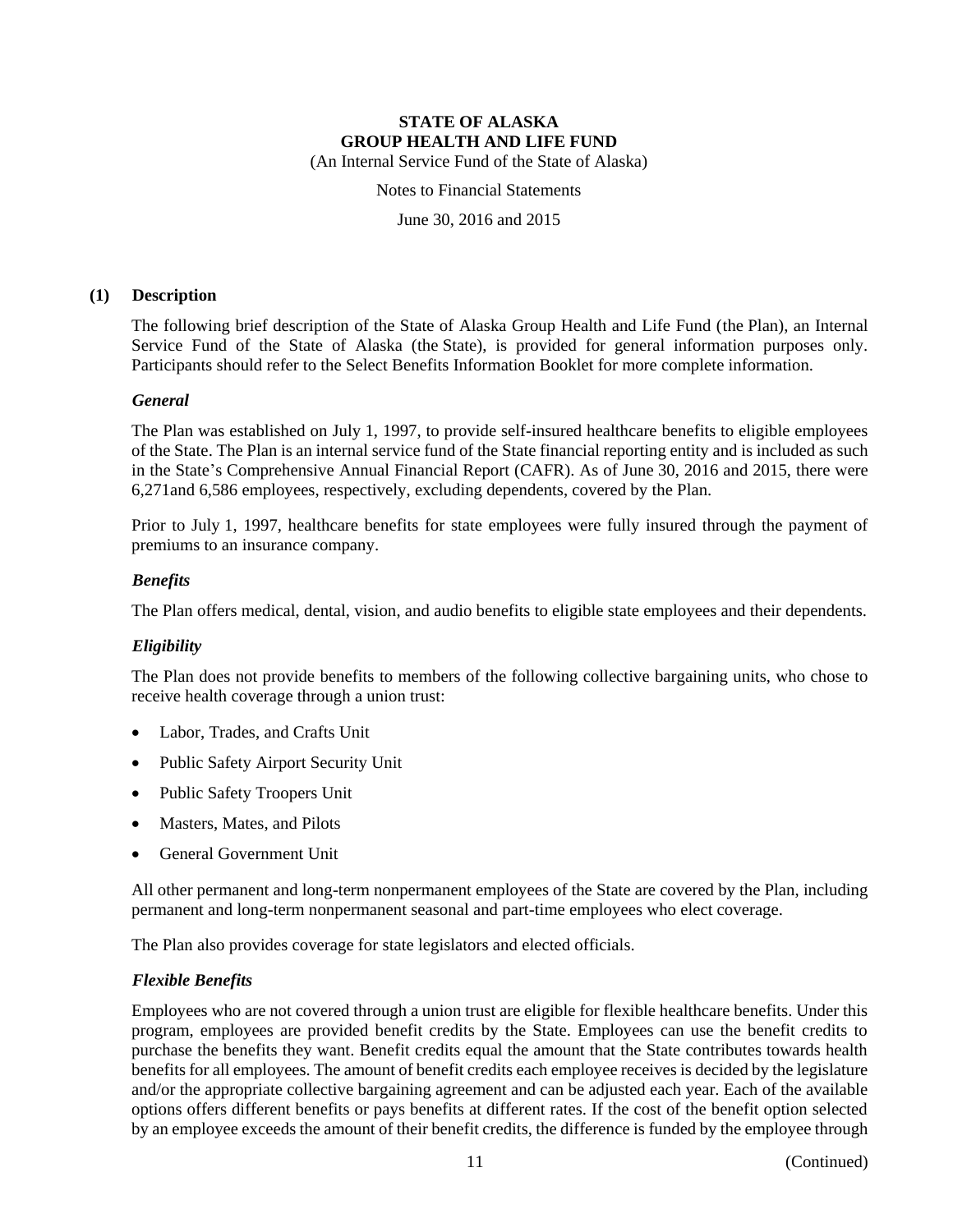Notes to Financial Statements

June 30, 2016 and 2015

### **(1) Description**

The following brief description of the State of Alaska Group Health and Life Fund (the Plan), an Internal Service Fund of the State of Alaska (the State), is provided for general information purposes only. Participants should refer to the Select Benefits Information Booklet for more complete information.

### *General*

The Plan was established on July 1, 1997, to provide self-insured healthcare benefits to eligible employees of the State. The Plan is an internal service fund of the State financial reporting entity and is included as such in the State's Comprehensive Annual Financial Report (CAFR). As of June 30, 2016 and 2015, there were 6,271and 6,586 employees, respectively, excluding dependents, covered by the Plan.

Prior to July 1, 1997, healthcare benefits for state employees were fully insured through the payment of premiums to an insurance company.

### *Benefits*

The Plan offers medical, dental, vision, and audio benefits to eligible state employees and their dependents.

### *Eligibility*

The Plan does not provide benefits to members of the following collective bargaining units, who chose to receive health coverage through a union trust:

- Labor, Trades, and Crafts Unit
- Public Safety Airport Security Unit
- Public Safety Troopers Unit
- Masters, Mates, and Pilots
- General Government Unit

All other permanent and long-term nonpermanent employees of the State are covered by the Plan, including permanent and long-term nonpermanent seasonal and part-time employees who elect coverage.

The Plan also provides coverage for state legislators and elected officials.

### *Flexible Benefits*

Employees who are not covered through a union trust are eligible for flexible healthcare benefits. Under this program, employees are provided benefit credits by the State. Employees can use the benefit credits to purchase the benefits they want. Benefit credits equal the amount that the State contributes towards health benefits for all employees. The amount of benefit credits each employee receives is decided by the legislature and/or the appropriate collective bargaining agreement and can be adjusted each year. Each of the available options offers different benefits or pays benefits at different rates. If the cost of the benefit option selected by an employee exceeds the amount of their benefit credits, the difference is funded by the employee through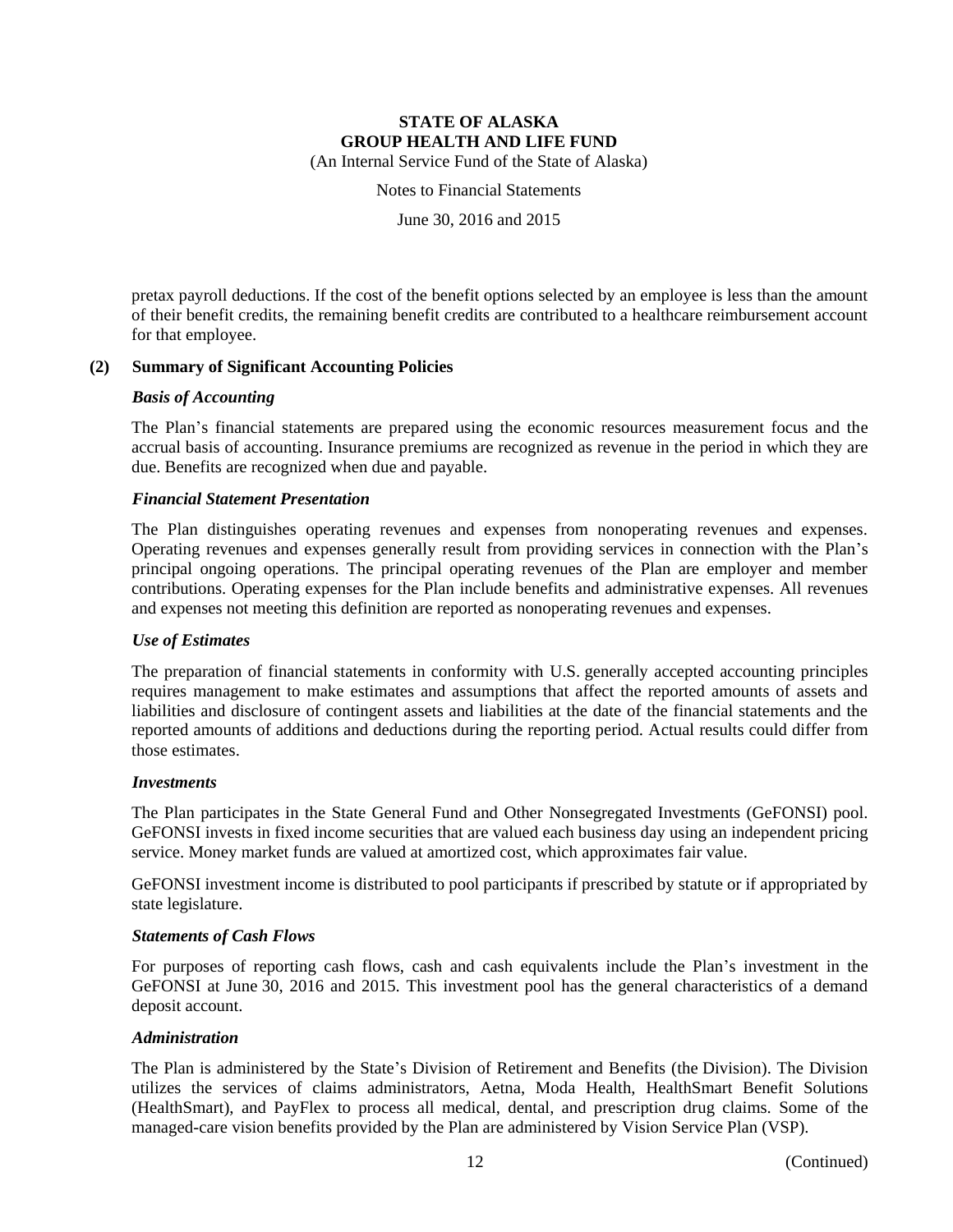Notes to Financial Statements

June 30, 2016 and 2015

pretax payroll deductions. If the cost of the benefit options selected by an employee is less than the amount of their benefit credits, the remaining benefit credits are contributed to a healthcare reimbursement account for that employee.

### **(2) Summary of Significant Accounting Policies**

### *Basis of Accounting*

The Plan's financial statements are prepared using the economic resources measurement focus and the accrual basis of accounting. Insurance premiums are recognized as revenue in the period in which they are due. Benefits are recognized when due and payable.

### *Financial Statement Presentation*

The Plan distinguishes operating revenues and expenses from nonoperating revenues and expenses. Operating revenues and expenses generally result from providing services in connection with the Plan's principal ongoing operations. The principal operating revenues of the Plan are employer and member contributions. Operating expenses for the Plan include benefits and administrative expenses. All revenues and expenses not meeting this definition are reported as nonoperating revenues and expenses.

### *Use of Estimates*

The preparation of financial statements in conformity with U.S. generally accepted accounting principles requires management to make estimates and assumptions that affect the reported amounts of assets and liabilities and disclosure of contingent assets and liabilities at the date of the financial statements and the reported amounts of additions and deductions during the reporting period. Actual results could differ from those estimates.

### *Investments*

The Plan participates in the State General Fund and Other Nonsegregated Investments (GeFONSI) pool. GeFONSI invests in fixed income securities that are valued each business day using an independent pricing service. Money market funds are valued at amortized cost, which approximates fair value.

GeFONSI investment income is distributed to pool participants if prescribed by statute or if appropriated by state legislature.

### *Statements of Cash Flows*

For purposes of reporting cash flows, cash and cash equivalents include the Plan's investment in the GeFONSI at June 30, 2016 and 2015. This investment pool has the general characteristics of a demand deposit account.

### *Administration*

The Plan is administered by the State's Division of Retirement and Benefits (the Division). The Division utilizes the services of claims administrators, Aetna, Moda Health, HealthSmart Benefit Solutions (HealthSmart), and PayFlex to process all medical, dental, and prescription drug claims. Some of the managed-care vision benefits provided by the Plan are administered by Vision Service Plan (VSP).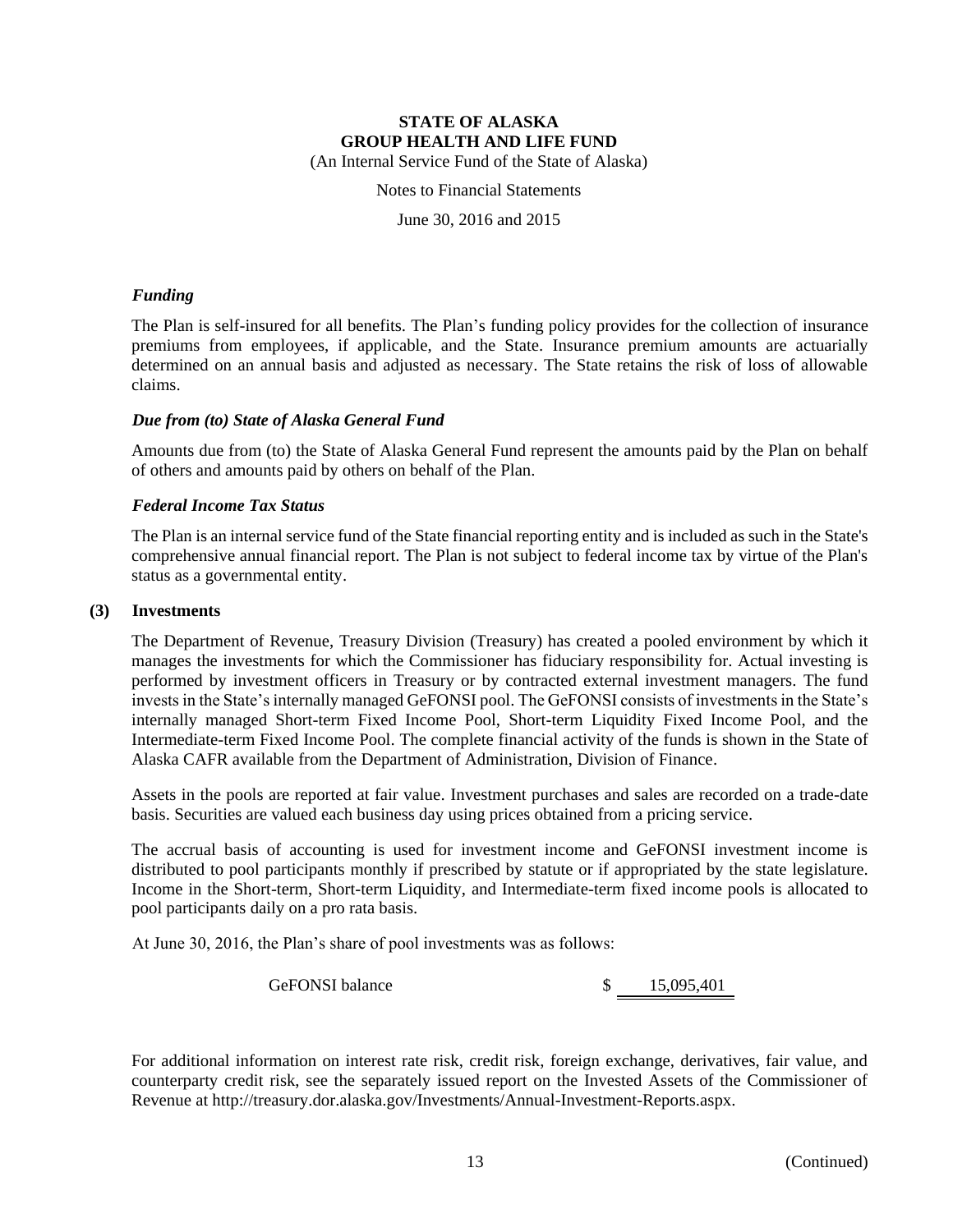Notes to Financial Statements

June 30, 2016 and 2015

### *Funding*

The Plan is self-insured for all benefits. The Plan's funding policy provides for the collection of insurance premiums from employees, if applicable, and the State. Insurance premium amounts are actuarially determined on an annual basis and adjusted as necessary. The State retains the risk of loss of allowable claims.

### *Due from (to) State of Alaska General Fund*

Amounts due from (to) the State of Alaska General Fund represent the amounts paid by the Plan on behalf of others and amounts paid by others on behalf of the Plan.

### *Federal Income Tax Status*

The Plan is an internal service fund of the State financial reporting entity and is included as such in the State's comprehensive annual financial report. The Plan is not subject to federal income tax by virtue of the Plan's status as a governmental entity.

#### **(3) Investments**

The Department of Revenue, Treasury Division (Treasury) has created a pooled environment by which it manages the investments for which the Commissioner has fiduciary responsibility for. Actual investing is performed by investment officers in Treasury or by contracted external investment managers. The fund invests in the State's internally managed GeFONSI pool. The GeFONSI consists of investments in the State's internally managed Short-term Fixed Income Pool, Short-term Liquidity Fixed Income Pool, and the Intermediate-term Fixed Income Pool. The complete financial activity of the funds is shown in the State of Alaska CAFR available from the Department of Administration, Division of Finance.

Assets in the pools are reported at fair value. Investment purchases and sales are recorded on a trade-date basis. Securities are valued each business day using prices obtained from a pricing service.

The accrual basis of accounting is used for investment income and GeFONSI investment income is distributed to pool participants monthly if prescribed by statute or if appropriated by the state legislature. Income in the Short-term, Short-term Liquidity, and Intermediate-term fixed income pools is allocated to pool participants daily on a pro rata basis.

At June 30, 2016, the Plan's share of pool investments was as follows:

GeFONSI balance \$ 15,095,401

For additional information on interest rate risk, credit risk, foreign exchange, derivatives, fair value, and counterparty credit risk, see the separately issued report on the Invested Assets of the Commissioner of Revenue at http://treasury.dor.alaska.gov/Investments/Annual-Investment-Reports.aspx.